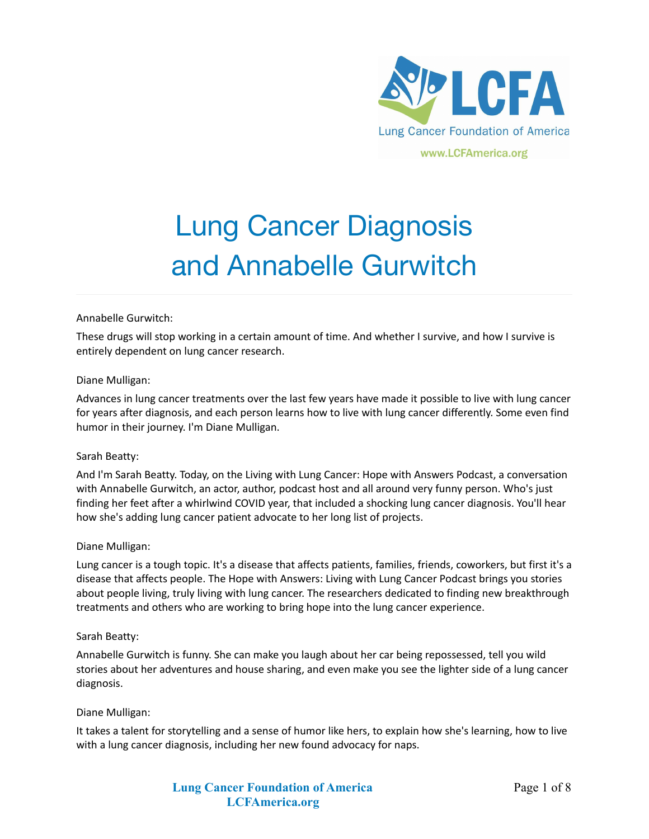

# Lung Cancer Diagnosis and Annabelle Gurwitch

## Annabelle Gurwitch:

These drugs will stop working in a certain amount of time. And whether I survive, and how I survive is entirely dependent on lung cancer research.

## Diane Mulligan:

Advances in lung cancer treatments over the last few years have made it possible to live with lung cancer for years after diagnosis, and each person learns how to live with lung cancer differently. Some even find humor in their journey. I'm Diane Mulligan.

## Sarah Beatty:

And I'm Sarah Beatty. Today, on the Living with Lung Cancer: Hope with Answers Podcast, a conversation with Annabelle Gurwitch, an actor, author, podcast host and all around very funny person. Who's just finding her feet after a whirlwind COVID year, that included a shocking lung cancer diagnosis. You'll hear how she's adding lung cancer patient advocate to her long list of projects.

## Diane Mulligan:

Lung cancer is a tough topic. It's a disease that affects patients, families, friends, coworkers, but first it's a disease that affects people. The Hope with Answers: Living with Lung Cancer Podcast brings you stories about people living, truly living with lung cancer. The researchers dedicated to finding new breakthrough treatments and others who are working to bring hope into the lung cancer experience.

## Sarah Beatty:

Annabelle Gurwitch is funny. She can make you laugh about her car being repossessed, tell you wild stories about her adventures and house sharing, and even make you see the lighter side of a lung cancer diagnosis.

## Diane Mulligan:

It takes a talent for storytelling and a sense of humor like hers, to explain how she's learning, how to live with a lung cancer diagnosis, including her new found advocacy for naps.

> **Lung Cancer Foundation of America LCFAmerica.org**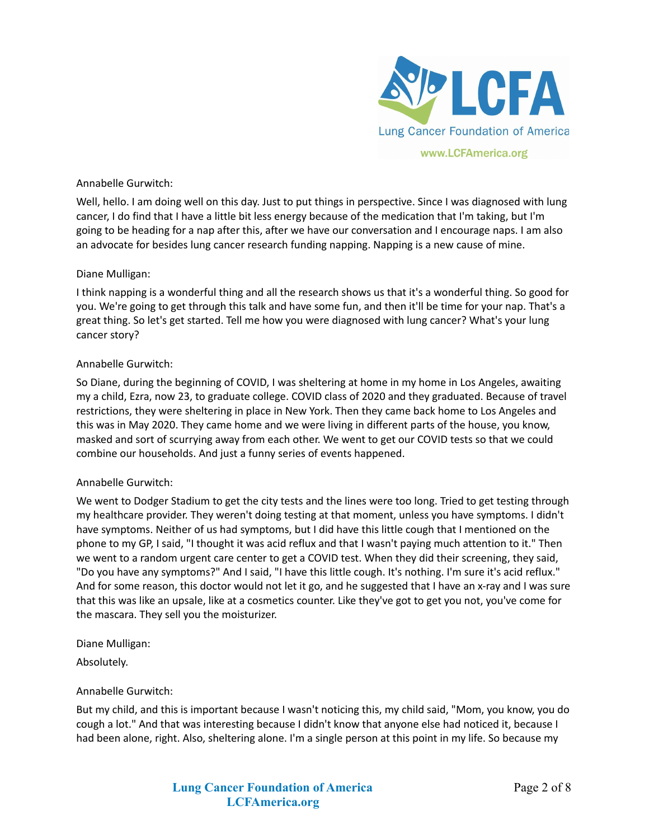

## Annabelle Gurwitch:

Well, hello. I am doing well on this day. Just to put things in perspective. Since I was diagnosed with lung cancer, I do find that I have a little bit less energy because of the medication that I'm taking, but I'm going to be heading for a nap after this, after we have our conversation and I encourage naps. I am also an advocate for besides lung cancer research funding napping. Napping is a new cause of mine.

## Diane Mulligan:

I think napping is a wonderful thing and all the research shows us that it's a wonderful thing. So good for you. We're going to get through this talk and have some fun, and then it'll be time for your nap. That's a great thing. So let's get started. Tell me how you were diagnosed with lung cancer? What's your lung cancer story?

## Annabelle Gurwitch:

So Diane, during the beginning of COVID, I was sheltering at home in my home in Los Angeles, awaiting my a child, Ezra, now 23, to graduate college. COVID class of 2020 and they graduated. Because of travel restrictions, they were sheltering in place in New York. Then they came back home to Los Angeles and this was in May 2020. They came home and we were living in different parts of the house, you know, masked and sort of scurrying away from each other. We went to get our COVID tests so that we could combine our households. And just a funny series of events happened.

# Annabelle Gurwitch:

We went to Dodger Stadium to get the city tests and the lines were too long. Tried to get testing through my healthcare provider. They weren't doing testing at that moment, unless you have symptoms. I didn't have symptoms. Neither of us had symptoms, but I did have this little cough that I mentioned on the phone to my GP, I said, "I thought it was acid reflux and that I wasn't paying much attention to it." Then we went to a random urgent care center to get a COVID test. When they did their screening, they said, "Do you have any symptoms?" And I said, "I have this little cough. It's nothing. I'm sure it's acid reflux." And for some reason, this doctor would not let it go, and he suggested that I have an x-ray and I was sure that this was like an upsale, like at a cosmetics counter. Like they've got to get you not, you've come for the mascara. They sell you the moisturizer.

Diane Mulligan:

Absolutely.

# Annabelle Gurwitch:

But my child, and this is important because I wasn't noticing this, my child said, "Mom, you know, you do cough a lot." And that was interesting because I didn't know that anyone else had noticed it, because I had been alone, right. Also, sheltering alone. I'm a single person at this point in my life. So because my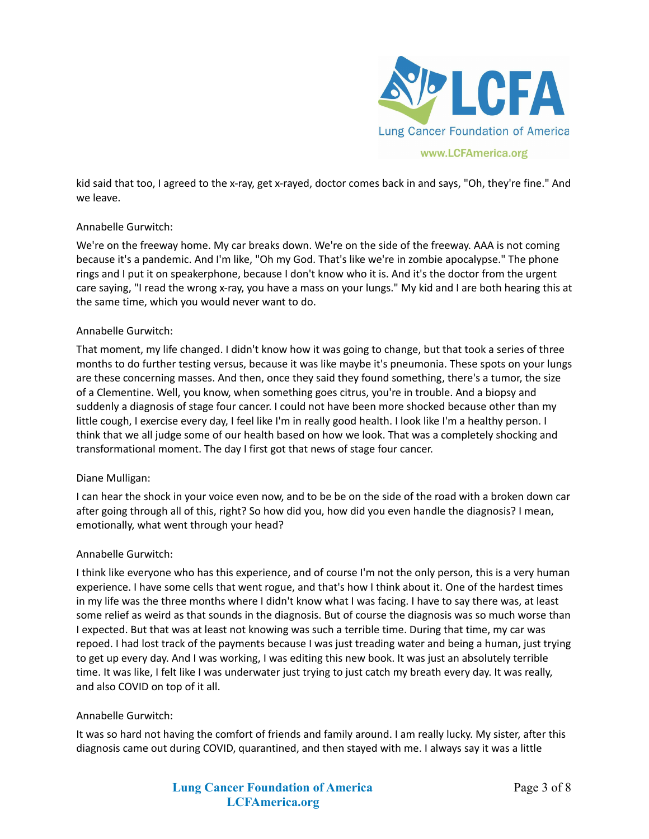

kid said that too, I agreed to the x-ray, get x-rayed, doctor comes back in and says, "Oh, they're fine." And we leave.

# Annabelle Gurwitch:

We're on the freeway home. My car breaks down. We're on the side of the freeway. AAA is not coming because it's a pandemic. And I'm like, "Oh my God. That's like we're in zombie apocalypse." The phone rings and I put it on speakerphone, because I don't know who it is. And it's the doctor from the urgent care saying, "I read the wrong x-ray, you have a mass on your lungs." My kid and I are both hearing this at the same time, which you would never want to do.

## Annabelle Gurwitch:

That moment, my life changed. I didn't know how it was going to change, but that took a series of three months to do further testing versus, because it was like maybe it's pneumonia. These spots on your lungs are these concerning masses. And then, once they said they found something, there's a tumor, the size of a Clementine. Well, you know, when something goes citrus, you're in trouble. And a biopsy and suddenly a diagnosis of stage four cancer. I could not have been more shocked because other than my little cough, I exercise every day, I feel like I'm in really good health. I look like I'm a healthy person. I think that we all judge some of our health based on how we look. That was a completely shocking and transformational moment. The day I first got that news of stage four cancer.

# Diane Mulligan:

I can hear the shock in your voice even now, and to be be on the side of the road with a broken down car after going through all of this, right? So how did you, how did you even handle the diagnosis? I mean, emotionally, what went through your head?

## Annabelle Gurwitch:

I think like everyone who has this experience, and of course I'm not the only person, this is a very human experience. I have some cells that went rogue, and that's how I think about it. One of the hardest times in my life was the three months where I didn't know what I was facing. I have to say there was, at least some relief as weird as that sounds in the diagnosis. But of course the diagnosis was so much worse than I expected. But that was at least not knowing was such a terrible time. During that time, my car was repoed. I had lost track of the payments because I was just treading water and being a human, just trying to get up every day. And I was working, I was editing this new book. It was just an absolutely terrible time. It was like, I felt like I was underwater just trying to just catch my breath every day. It was really, and also COVID on top of it all.

## Annabelle Gurwitch:

It was so hard not having the comfort of friends and family around. I am really lucky. My sister, after this diagnosis came out during COVID, quarantined, and then stayed with me. I always say it was a little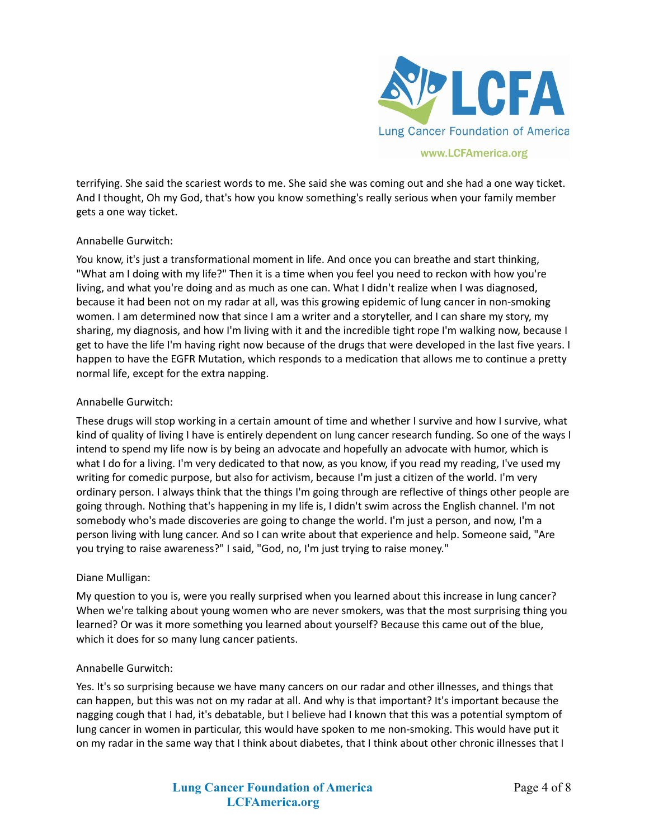

terrifying. She said the scariest words to me. She said she was coming out and she had a one way ticket. And I thought, Oh my God, that's how you know something's really serious when your family member gets a one way ticket.

# Annabelle Gurwitch:

You know, it's just a transformational moment in life. And once you can breathe and start thinking, "What am I doing with my life?" Then it is a time when you feel you need to reckon with how you're living, and what you're doing and as much as one can. What I didn't realize when I was diagnosed, because it had been not on my radar at all, was this growing epidemic of lung cancer in non-smoking women. I am determined now that since I am a writer and a storyteller, and I can share my story, my sharing, my diagnosis, and how I'm living with it and the incredible tight rope I'm walking now, because I get to have the life I'm having right now because of the drugs that were developed in the last five years. I happen to have the EGFR Mutation, which responds to a medication that allows me to continue a pretty normal life, except for the extra napping.

# Annabelle Gurwitch:

These drugs will stop working in a certain amount of time and whether I survive and how I survive, what kind of quality of living I have is entirely dependent on lung cancer research funding. So one of the ways I intend to spend my life now is by being an advocate and hopefully an advocate with humor, which is what I do for a living. I'm very dedicated to that now, as you know, if you read my reading, I've used my writing for comedic purpose, but also for activism, because I'm just a citizen of the world. I'm very ordinary person. I always think that the things I'm going through are reflective of things other people are going through. Nothing that's happening in my life is, I didn't swim across the English channel. I'm not somebody who's made discoveries are going to change the world. I'm just a person, and now, I'm a person living with lung cancer. And so I can write about that experience and help. Someone said, "Are you trying to raise awareness?" I said, "God, no, I'm just trying to raise money."

## Diane Mulligan:

My question to you is, were you really surprised when you learned about this increase in lung cancer? When we're talking about young women who are never smokers, was that the most surprising thing you learned? Or was it more something you learned about yourself? Because this came out of the blue, which it does for so many lung cancer patients.

## Annabelle Gurwitch:

Yes. It's so surprising because we have many cancers on our radar and other illnesses, and things that can happen, but this was not on my radar at all. And why is that important? It's important because the nagging cough that I had, it's debatable, but I believe had I known that this was a potential symptom of lung cancer in women in particular, this would have spoken to me non-smoking. This would have put it on my radar in the same way that I think about diabetes, that I think about other chronic illnesses that I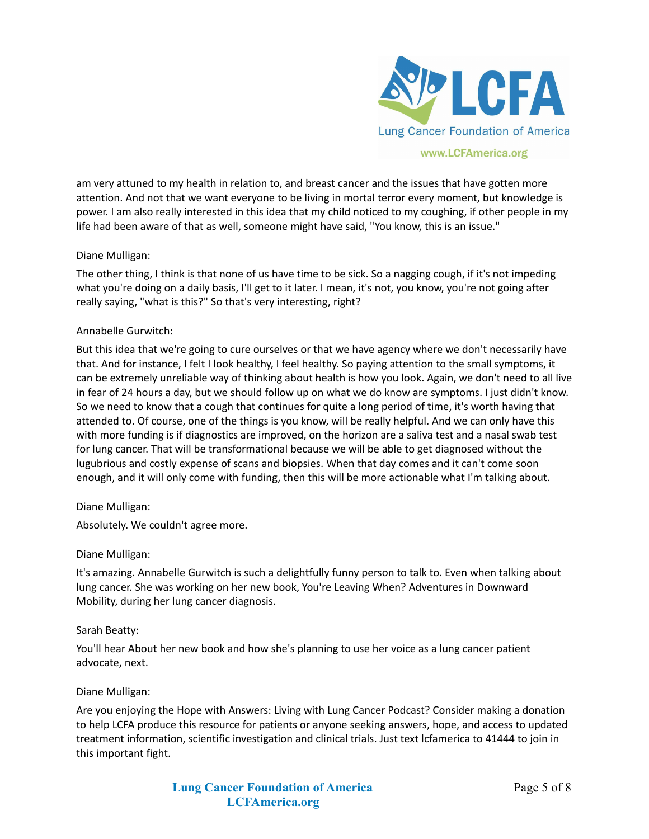

## www.LCFAmerica.org

am very attuned to my health in relation to, and breast cancer and the issues that have gotten more attention. And not that we want everyone to be living in mortal terror every moment, but knowledge is power. I am also really interested in this idea that my child noticed to my coughing, if other people in my life had been aware of that as well, someone might have said, "You know, this is an issue."

# Diane Mulligan:

The other thing, I think is that none of us have time to be sick. So a nagging cough, if it's not impeding what you're doing on a daily basis, I'll get to it later. I mean, it's not, you know, you're not going after really saying, "what is this?" So that's very interesting, right?

## Annabelle Gurwitch:

But this idea that we're going to cure ourselves or that we have agency where we don't necessarily have that. And for instance, I felt I look healthy, I feel healthy. So paying attention to the small symptoms, it can be extremely unreliable way of thinking about health is how you look. Again, we don't need to all live in fear of 24 hours a day, but we should follow up on what we do know are symptoms. I just didn't know. So we need to know that a cough that continues for quite a long period of time, it's worth having that attended to. Of course, one of the things is you know, will be really helpful. And we can only have this with more funding is if diagnostics are improved, on the horizon are a saliva test and a nasal swab test for lung cancer. That will be transformational because we will be able to get diagnosed without the lugubrious and costly expense of scans and biopsies. When that day comes and it can't come soon enough, and it will only come with funding, then this will be more actionable what I'm talking about.

# Diane Mulligan:

Absolutely. We couldn't agree more.

## Diane Mulligan:

It's amazing. Annabelle Gurwitch is such a delightfully funny person to talk to. Even when talking about lung cancer. She was working on her new book, You're Leaving When? Adventures in Downward Mobility, during her lung cancer diagnosis.

## Sarah Beatty:

You'll hear About her new book and how she's planning to use her voice as a lung cancer patient advocate, next.

## Diane Mulligan:

Are you enjoying the Hope with Answers: Living with Lung Cancer Podcast? Consider making a donation to help LCFA produce this resource for patients or anyone seeking answers, hope, and access to updated treatment information, scientific investigation and clinical trials. Just text lcfamerica to 41444 to join in this important fight.

> **Lung Cancer Foundation of America LCFAmerica.org**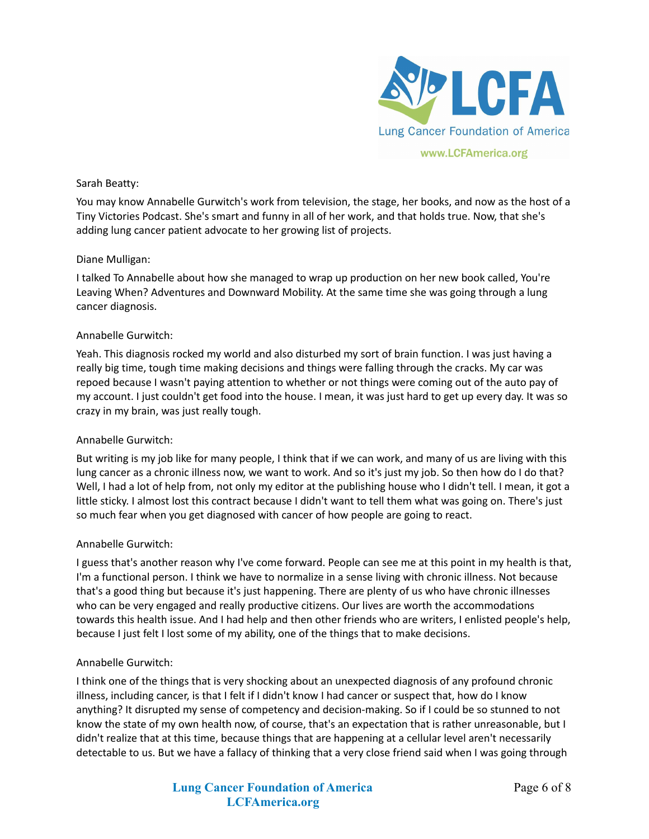

## Sarah Beatty:

You may know Annabelle Gurwitch's work from television, the stage, her books, and now as the host of a Tiny Victories Podcast. She's smart and funny in all of her work, and that holds true. Now, that she's adding lung cancer patient advocate to her growing list of projects.

## Diane Mulligan:

I talked To Annabelle about how she managed to wrap up production on her new book called, You're Leaving When? Adventures and Downward Mobility. At the same time she was going through a lung cancer diagnosis.

## Annabelle Gurwitch:

Yeah. This diagnosis rocked my world and also disturbed my sort of brain function. I was just having a really big time, tough time making decisions and things were falling through the cracks. My car was repoed because I wasn't paying attention to whether or not things were coming out of the auto pay of my account. I just couldn't get food into the house. I mean, it was just hard to get up every day. It was so crazy in my brain, was just really tough.

## Annabelle Gurwitch:

But writing is my job like for many people, I think that if we can work, and many of us are living with this lung cancer as a chronic illness now, we want to work. And so it's just my job. So then how do I do that? Well, I had a lot of help from, not only my editor at the publishing house who I didn't tell. I mean, it got a little sticky. I almost lost this contract because I didn't want to tell them what was going on. There's just so much fear when you get diagnosed with cancer of how people are going to react.

## Annabelle Gurwitch:

I guess that's another reason why I've come forward. People can see me at this point in my health is that, I'm a functional person. I think we have to normalize in a sense living with chronic illness. Not because that's a good thing but because it's just happening. There are plenty of us who have chronic illnesses who can be very engaged and really productive citizens. Our lives are worth the accommodations towards this health issue. And I had help and then other friends who are writers, I enlisted people's help, because I just felt I lost some of my ability, one of the things that to make decisions.

## Annabelle Gurwitch:

I think one of the things that is very shocking about an unexpected diagnosis of any profound chronic illness, including cancer, is that I felt if I didn't know I had cancer or suspect that, how do I know anything? It disrupted my sense of competency and decision-making. So if I could be so stunned to not know the state of my own health now, of course, that's an expectation that is rather unreasonable, but I didn't realize that at this time, because things that are happening at a cellular level aren't necessarily detectable to us. But we have a fallacy of thinking that a very close friend said when I was going through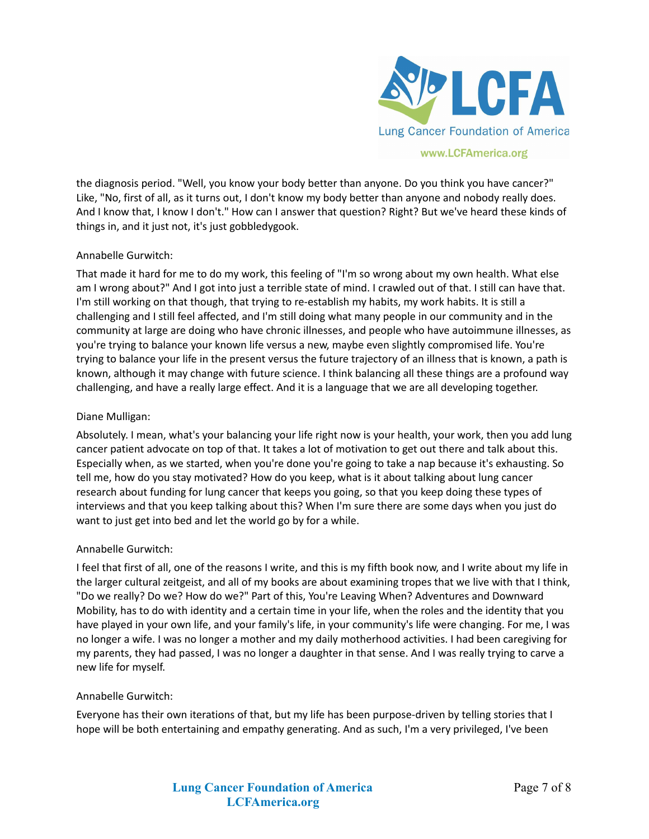

the diagnosis period. "Well, you know your body better than anyone. Do you think you have cancer?" Like, "No, first of all, as it turns out, I don't know my body better than anyone and nobody really does. And I know that, I know I don't." How can I answer that question? Right? But we've heard these kinds of things in, and it just not, it's just gobbledygook.

# Annabelle Gurwitch:

That made it hard for me to do my work, this feeling of "I'm so wrong about my own health. What else am I wrong about?" And I got into just a terrible state of mind. I crawled out of that. I still can have that. I'm still working on that though, that trying to re-establish my habits, my work habits. It is still a challenging and I still feel affected, and I'm still doing what many people in our community and in the community at large are doing who have chronic illnesses, and people who have autoimmune illnesses, as you're trying to balance your known life versus a new, maybe even slightly compromised life. You're trying to balance your life in the present versus the future trajectory of an illness that is known, a path is known, although it may change with future science. I think balancing all these things are a profound way challenging, and have a really large effect. And it is a language that we are all developing together.

## Diane Mulligan:

Absolutely. I mean, what's your balancing your life right now is your health, your work, then you add lung cancer patient advocate on top of that. It takes a lot of motivation to get out there and talk about this. Especially when, as we started, when you're done you're going to take a nap because it's exhausting. So tell me, how do you stay motivated? How do you keep, what is it about talking about lung cancer research about funding for lung cancer that keeps you going, so that you keep doing these types of interviews and that you keep talking about this? When I'm sure there are some days when you just do want to just get into bed and let the world go by for a while.

## Annabelle Gurwitch:

I feel that first of all, one of the reasons I write, and this is my fifth book now, and I write about my life in the larger cultural zeitgeist, and all of my books are about examining tropes that we live with that I think, "Do we really? Do we? How do we?" Part of this, You're Leaving When? Adventures and Downward Mobility, has to do with identity and a certain time in your life, when the roles and the identity that you have played in your own life, and your family's life, in your community's life were changing. For me, I was no longer a wife. I was no longer a mother and my daily motherhood activities. I had been caregiving for my parents, they had passed, I was no longer a daughter in that sense. And I was really trying to carve a new life for myself.

## Annabelle Gurwitch:

Everyone has their own iterations of that, but my life has been purpose-driven by telling stories that I hope will be both entertaining and empathy generating. And as such, I'm a very privileged, I've been